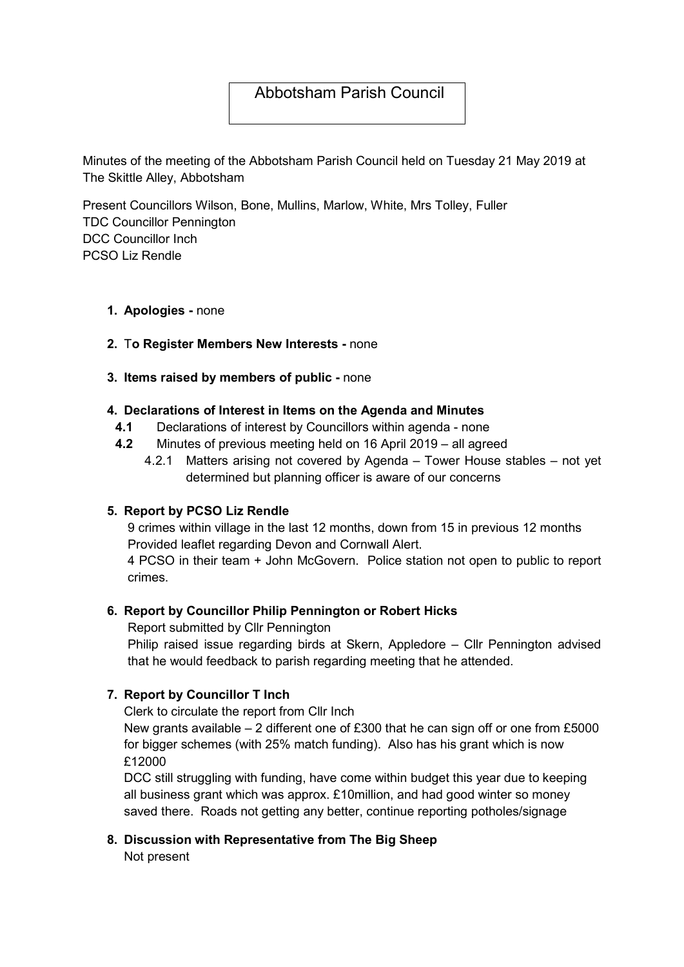## Abbotsham Parish Council

Minutes of the meeting of the Abbotsham Parish Council held on Tuesday 21 May 2019 at The Skittle Alley, Abbotsham

Present Councillors Wilson, Bone, Mullins, Marlow, White, Mrs Tolley, Fuller TDC Councillor Pennington DCC Councillor Inch PCSO Liz Rendle

1. Apologies - none

#### 2. To Register Members New Interests - none

#### 3. Items raised by members of public - none

#### 4. Declarations of Interest in Items on the Agenda and Minutes

- 4.1 Declarations of interest by Councillors within agenda none
- 4.2 Minutes of previous meeting held on 16 April 2019 all agreed
	- 4.2.1 Matters arising not covered by Agenda Tower House stables not yet determined but planning officer is aware of our concerns

#### 5. Report by PCSO Liz Rendle

9 crimes within village in the last 12 months, down from 15 in previous 12 months Provided leaflet regarding Devon and Cornwall Alert.

4 PCSO in their team + John McGovern. Police station not open to public to report crimes.

#### 6. Report by Councillor Philip Pennington or Robert Hicks

Report submitted by Cllr Pennington

Philip raised issue regarding birds at Skern, Appledore – Cllr Pennington advised that he would feedback to parish regarding meeting that he attended.

## 7. Report by Councillor T Inch

Clerk to circulate the report from Cllr Inch

New grants available  $-2$  different one of £300 that he can sign off or one from £5000 for bigger schemes (with 25% match funding). Also has his grant which is now £12000

DCC still struggling with funding, have come within budget this year due to keeping all business grant which was approx. £10million, and had good winter so money saved there. Roads not getting any better, continue reporting potholes/signage

# 8. Discussion with Representative from The Big Sheep

Not present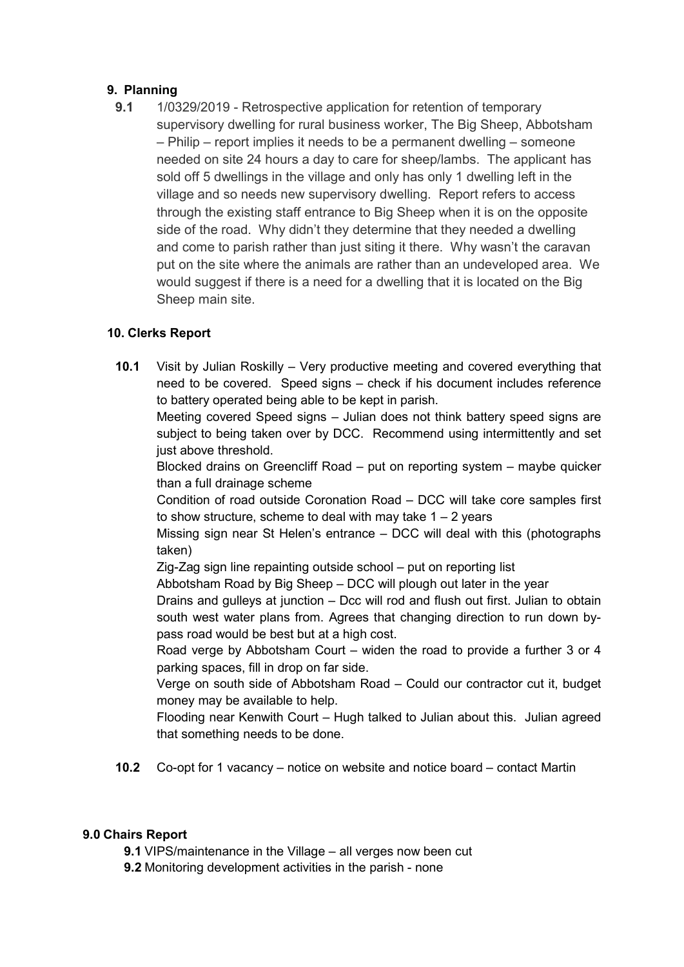## 9. Planning

9.1 1/0329/2019 - Retrospective application for retention of temporary supervisory dwelling for rural business worker, The Big Sheep, Abbotsham – Philip – report implies it needs to be a permanent dwelling – someone needed on site 24 hours a day to care for sheep/lambs. The applicant has sold off 5 dwellings in the village and only has only 1 dwelling left in the village and so needs new supervisory dwelling. Report refers to access through the existing staff entrance to Big Sheep when it is on the opposite side of the road. Why didn't they determine that they needed a dwelling and come to parish rather than just siting it there. Why wasn't the caravan put on the site where the animals are rather than an undeveloped area. We would suggest if there is a need for a dwelling that it is located on the Big Sheep main site.

## 10. Clerks Report

10.1 Visit by Julian Roskilly – Very productive meeting and covered everything that need to be covered. Speed signs – check if his document includes reference to battery operated being able to be kept in parish.

Meeting covered Speed signs – Julian does not think battery speed signs are subject to being taken over by DCC. Recommend using intermittently and set just above threshold.

Blocked drains on Greencliff Road – put on reporting system – maybe quicker than a full drainage scheme

Condition of road outside Coronation Road – DCC will take core samples first to show structure, scheme to deal with may take  $1 - 2$  years

Missing sign near St Helen's entrance – DCC will deal with this (photographs taken)

Zig-Zag sign line repainting outside school – put on reporting list

Abbotsham Road by Big Sheep – DCC will plough out later in the year

Drains and gulleys at junction – Dcc will rod and flush out first. Julian to obtain south west water plans from. Agrees that changing direction to run down bypass road would be best but at a high cost.

Road verge by Abbotsham Court – widen the road to provide a further 3 or 4 parking spaces, fill in drop on far side.

Verge on south side of Abbotsham Road – Could our contractor cut it, budget money may be available to help.

Flooding near Kenwith Court – Hugh talked to Julian about this. Julian agreed that something needs to be done.

10.2 Co-opt for 1 vacancy – notice on website and notice board – contact Martin

## 9.0 Chairs Report

9.1 VIPS/maintenance in the Village – all verges now been cut

9.2 Monitoring development activities in the parish - none